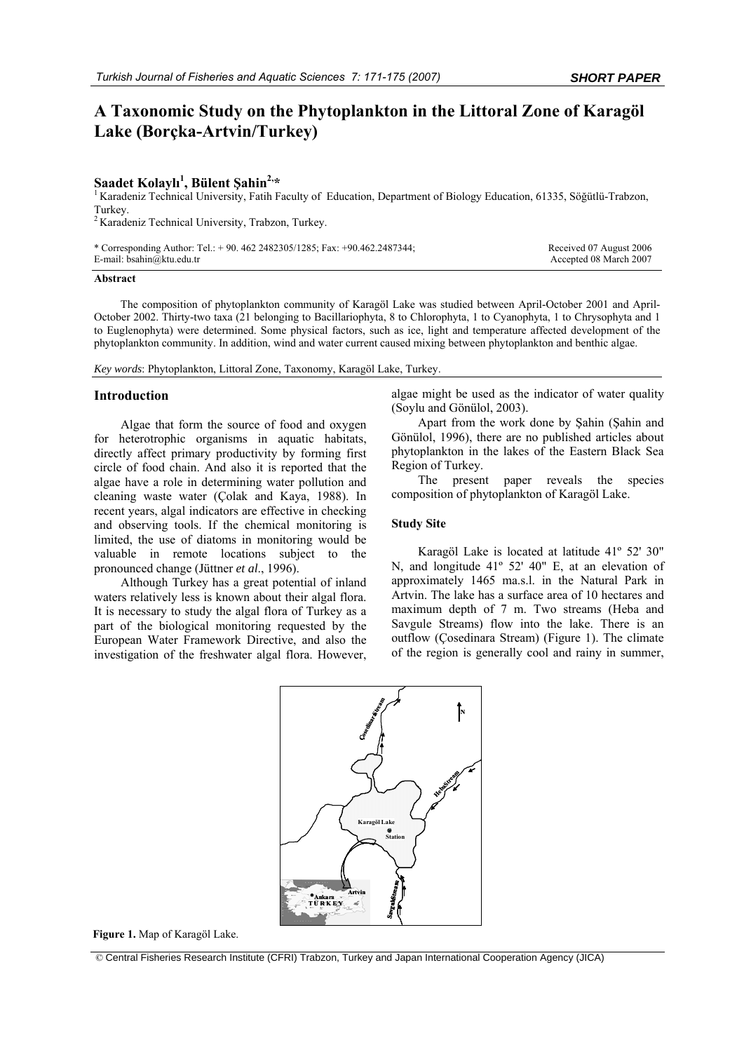# **A Taxonomic Study on the Phytoplankton in the Littoral Zone of Karagöl Lake (Borçka-Artvin/Turkey)**

## **Saadet Kolaylı 1**

<sup>1</sup> Karadeniz Technical University, Fatih Faculty of Education, Department of Biology Education, 61335, Söğütlü-Trabzon, Turkey.

2 Karadeniz Technical University, Trabzon, Turkey.

| * Corresponding Author: Tel.: $+90.4622482305/1285$ ; Fax: $+90.462.2487344$ ; | Received 07 August 2006 |
|--------------------------------------------------------------------------------|-------------------------|
| E-mail: bsahin@ktu.edu.tr                                                      | Accepted 08 March 2007  |

### **Abstract**

The composition of phytoplankton community of Karagöl Lake was studied between April-October 2001 and April-October 2002. Thirty-two taxa (21 belonging to Bacillariophyta, 8 to Chlorophyta, 1 to Cyanophyta, 1 to Chrysophyta and 1 to Euglenophyta) were determined. Some physical factors, such as ice, light and temperature affected development of the phytoplankton community. In addition, wind and water current caused mixing between phytoplankton and benthic algae.

*Key words*: Phytoplankton, Littoral Zone, Taxonomy, Karagöl Lake, Turkey.

#### **Introduction**

Algae that form the source of food and oxygen for heterotrophic organisms in aquatic habitats, directly affect primary productivity by forming first circle of food chain. And also it is reported that the algae have a role in determining water pollution and cleaning waste water (Çolak and Kaya, 1988). In recent years, algal indicators are effective in checking and observing tools. If the chemical monitoring is limited, the use of diatoms in monitoring would be valuable in remote locations subject to the pronounced change (Jüttner *et al*., 1996).

Although Turkey has a great potential of inland waters relatively less is known about their algal flora. It is necessary to study the algal flora of Turkey as a part of the biological monitoring requested by the European Water Framework Directive, and also the investigation of the freshwater algal flora. However,

algae might be used as the indicator of water quality (Soylu and Gönülol, 2003).

Apart from the work done by Şahin (Şahin and Gönülol, 1996), there are no published articles about phytoplankton in the lakes of the Eastern Black Sea Region of Turkey.

The present paper reveals the species composition of phytoplankton of Karagöl Lake.

#### **Study Site**

Karagöl Lake is located at latitude 41º 52' 30" N, and longitude 41º 52' 40" E, at an elevation of approximately 1465 ma.s.l. in the Natural Park in Artvin. The lake has a surface area of 10 hectares and maximum depth of 7 m. Two streams (Heba and Savgule Streams) flow into the lake. There is an outflow (Çosedinara Stream) (Figure 1). The climate of the region is generally cool and rainy in summer,



**Figure 1.** Map of Karagöl Lake.

© Central Fisheries Research Institute (CFRI) Trabzon, Turkey and Japan International Cooperation Agency (JICA)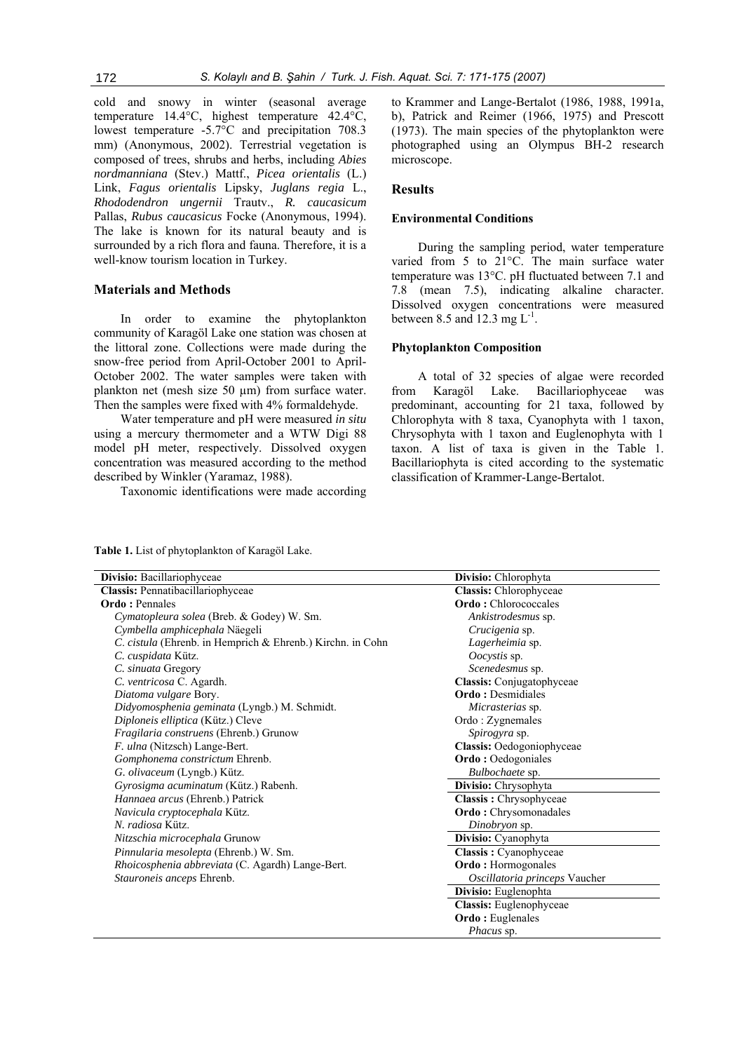cold and snowy in winter (seasonal average temperature 14.4°C, highest temperature 42.4°C, lowest temperature -5.7°C and precipitation 708.3 mm) (Anonymous, 2002). Terrestrial vegetation is composed of trees, shrubs and herbs, including *Abies nordmanniana* (Stev.) Mattf., *Picea orientalis* (L.) Link, *Fagus orientalis* Lipsky, *Juglans regia* L., *Rhododendron ungernii* Trautv., *R. caucasicum* Pallas, *Rubus caucasicus* Focke (Anonymous, 1994). The lake is known for its natural beauty and is surrounded by a rich flora and fauna. Therefore, it is a well-know tourism location in Turkey.

#### **Materials and Methods**

In order to examine the phytoplankton community of Karagöl Lake one station was chosen at the littoral zone. Collections were made during the snow-free period from April-October 2001 to April-October 2002. The water samples were taken with plankton net (mesh size 50 µm) from surface water. Then the samples were fixed with 4% formaldehyde.

Water temperature and pH were measured *in situ* using a mercury thermometer and a WTW Digi 88 model pH meter, respectively. Dissolved oxygen concentration was measured according to the method described by Winkler (Yaramaz, 1988).

Taxonomic identifications were made according

to Krammer and Lange-Bertalot (1986, 1988, 1991a, b), Patrick and Reimer (1966, 1975) and Prescott (1973). The main species of the phytoplankton were photographed using an Olympus BH-2 research microscope.

## **Results**

#### **Environmental Conditions**

During the sampling period, water temperature varied from 5 to 21°C. The main surface water temperature was 13°C. pH fluctuated between 7.1 and 7.8 (mean 7.5), indicating alkaline character. Dissolved oxygen concentrations were measured between 8.5 and 12.3 mg  $L^{-1}$ .

## **Phytoplankton Composition**

A total of 32 species of algae were recorded from Karagöl Lake. Bacillariophyceae was predominant, accounting for 21 taxa, followed by Chlorophyta with 8 taxa, Cyanophyta with 1 taxon, Chrysophyta with 1 taxon and Euglenophyta with 1 taxon. A list of taxa is given in the Table 1. Bacillariophyta is cited according to the systematic classification of Krammer-Lange-Bertalot.

**Table 1.** List of phytoplankton of Karagöl Lake.

| Divisio: Bacillariophyceae                                 | Divisio: Chlorophyta          |
|------------------------------------------------------------|-------------------------------|
| Classis: Pennatibacillariophyceae                          | Classis: Chlorophyceae        |
| <b>Ordo</b> : Pennales                                     | <b>Ordo:</b> Chlorococcales   |
| Cymatopleura solea (Breb. & Godey) W. Sm.                  | Ankistrodesmus sp.            |
| Cymbella amphicephala Näegeli                              | Crucigenia sp.                |
| C. cistula (Ehrenb. in Hemprich & Ehrenb.) Kirchn. in Cohn | Lagerheimia sp.               |
| C. cuspidata Kütz.                                         | Oocystis sp.                  |
| C. sinuata Gregory                                         | Scenedesmus sp.               |
| C. ventricosa C. Agardh.                                   | Classis: Conjugatophyceae     |
| Diatoma vulgare Bory.                                      | <b>Ordo</b> : Desmidiales     |
| Didyomosphenia geminata (Lyngb.) M. Schmidt.               | Micrasterias sp.              |
| Diploneis elliptica (Kütz.) Cleve                          | Ordo: Zygnemales              |
| Fragilaria construens (Ehrenb.) Grunow                     | Spirogyra sp.                 |
| F. ulna (Nitzsch) Lange-Bert.                              | Classis: Oedogoniophyceae     |
| Gomphonema constrictum Ehrenb.                             | <b>Ordo</b> : Oedogoniales    |
| G. olivaceum (Lyngb.) Kütz.                                | Bulbochaete sp.               |
| Gyrosigma acuminatum (Kütz.) Rabenh.                       | Divisio: Chrysophyta          |
| Hannaea arcus (Ehrenb.) Patrick                            | Classis: Chrysophyceae        |
| Navicula cryptocephala Kütz.                               | <b>Ordo:</b> Chrysomonadales  |
| N. radiosa Kütz.                                           | Dinobryon sp.                 |
| Nitzschia microcephala Grunow                              | Divisio: Cyanophyta           |
| Pinnularia mesolepta (Ehrenb.) W. Sm.                      | Classis: Cyanophyceae         |
| Rhoicosphenia abbreviata (C. Agardh) Lange-Bert.           | <b>Ordo:</b> Hormogonales     |
| Stauroneis anceps Ehrenb.                                  | Oscillatoria princeps Vaucher |
|                                                            | Divisio: Euglenophta          |
|                                                            | Classis: Euglenophyceae       |
|                                                            | <b>Ordo:</b> Euglenales       |
|                                                            | Phacus sp.                    |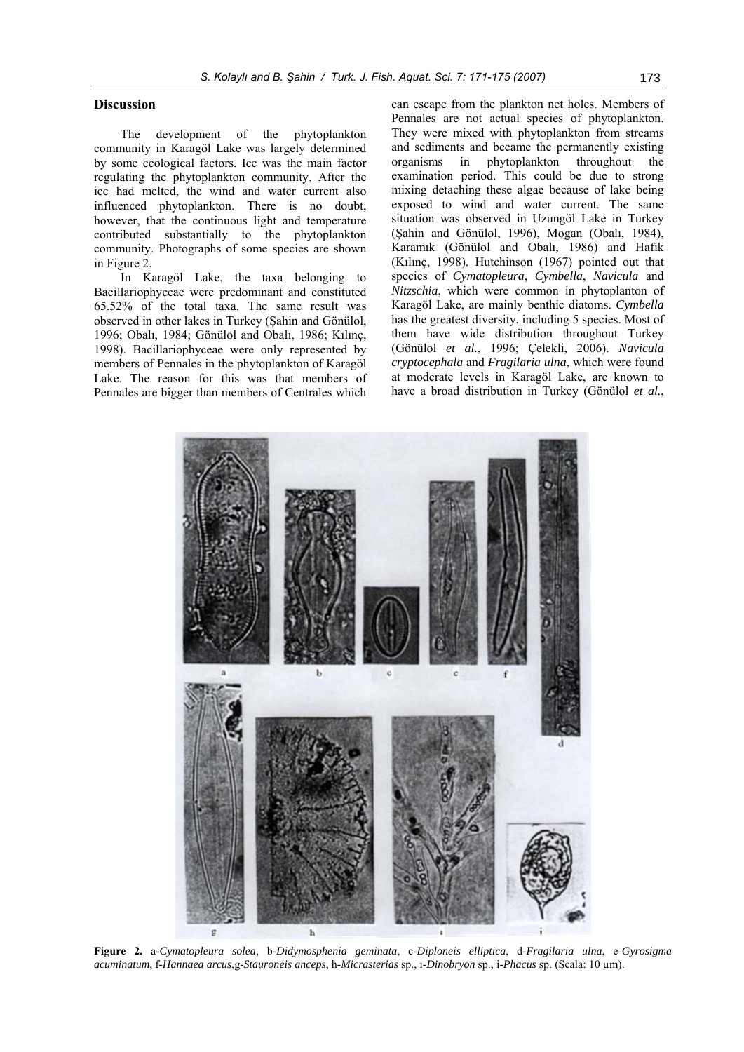## **Discussion**

The development of the phytoplankton community in Karagöl Lake was largely determined by some ecological factors. Ice was the main factor regulating the phytoplankton community. After the ice had melted, the wind and water current also influenced phytoplankton. There is no doubt, however, that the continuous light and temperature contributed substantially to the phytoplankton community. Photographs of some species are shown in Figure 2.

In Karagöl Lake, the taxa belonging to Bacillariophyceae were predominant and constituted 65.52% of the total taxa. The same result was observed in other lakes in Turkey (Şahin and Gönülol, 1996; Obalı, 1984; Gönülol and Obalı, 1986; Kılınç, 1998). Bacillariophyceae were only represented by members of Pennales in the phytoplankton of Karagöl Lake. The reason for this was that members of Pennales are bigger than members of Centrales which

can escape from the plankton net holes. Members of Pennales are not actual species of phytoplankton. They were mixed with phytoplankton from streams and sediments and became the permanently existing organisms in phytoplankton throughout the examination period. This could be due to strong mixing detaching these algae because of lake being exposed to wind and water current. The same situation was observed in Uzungöl Lake in Turkey (Şahin and Gönülol, 1996), Mogan (Obalı, 1984), Karamık (Gönülol and Obalı, 1986) and Hafik (Kılınç, 1998). Hutchinson (1967) pointed out that species of *Cymatopleura*, *Cymbella*, *Navicula* and *Nitzschia*, which were common in phytoplanton of Karagöl Lake, are mainly benthic diatoms. *Cymbella*  has the greatest diversity, including 5 species. Most of them have wide distribution throughout Turkey (Gönülol *et al.*, 1996; Çelekli, 2006). *Navicula cryptocephala* and *Fragilaria ulna*, which were found at moderate levels in Karagöl Lake, are known to have a broad distribution in Turkey (Gönülol *et al.*,



**Figure 2.** a-*Cymatopleura solea*, b-*Didymosphenia geminata*, c-*Diploneis elliptica*, d-*Fragilaria ulna*, e-*Gyrosigma acuminatum*, f-*Hannaea arcus*,g-*Stauroneis anceps*, h-*Micrasterias* sp., ı-*Dinobryon* sp., i-*Phacus* sp. (Scala: 10 µm).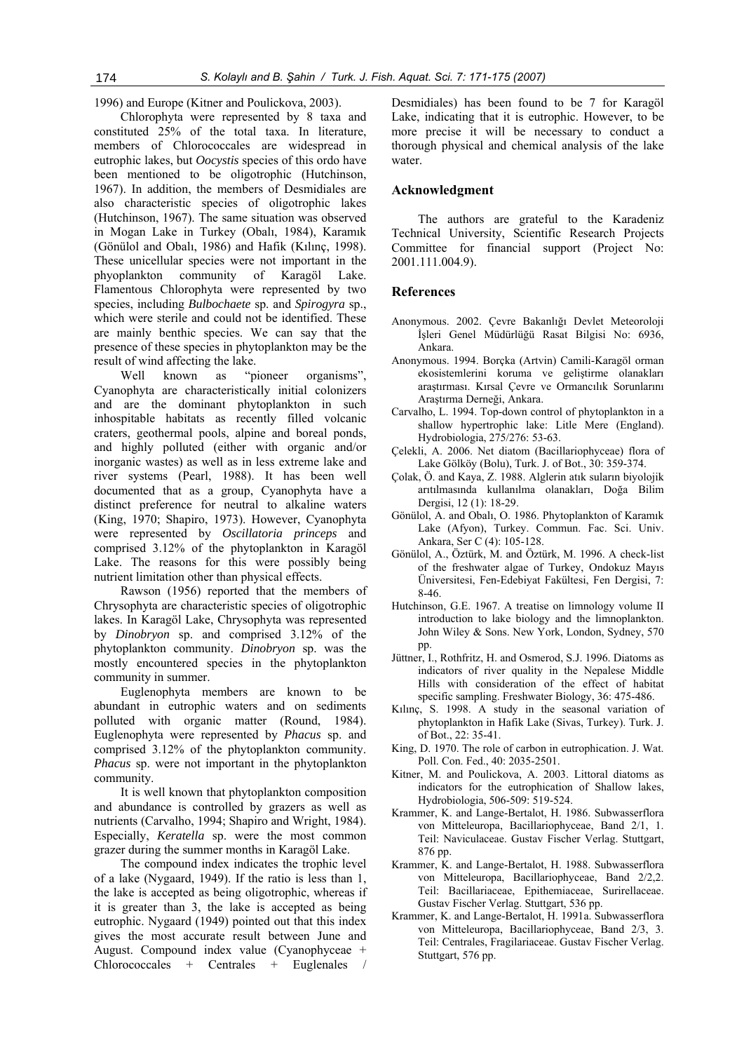1996) and Europe (Kitner and Poulickova, 2003).

Chlorophyta were represented by 8 taxa and constituted 25% of the total taxa. In literature, members of Chlorococcales are widespread in eutrophic lakes, but *Oocystis* species of this ordo have been mentioned to be oligotrophic (Hutchinson, 1967). In addition, the members of Desmidiales are also characteristic species of oligotrophic lakes (Hutchinson, 1967). The same situation was observed in Mogan Lake in Turkey (Obalı, 1984), Karamık (Gönülol and Obalı, 1986) and Hafik (Kılınç, 1998). These unicellular species were not important in the phyoplankton community of Karagöl Lake. Flamentous Chlorophyta were represented by two species, including *Bulbochaete* sp. and *Spirogyra* sp., which were sterile and could not be identified. These are mainly benthic species. We can say that the presence of these species in phytoplankton may be the result of wind affecting the lake.

Well known as "pioneer organisms", Cyanophyta are characteristically initial colonizers and are the dominant phytoplankton in such inhospitable habitats as recently filled volcanic craters, geothermal pools, alpine and boreal ponds, and highly polluted (either with organic and/or inorganic wastes) as well as in less extreme lake and river systems (Pearl, 1988). It has been well documented that as a group, Cyanophyta have a distinct preference for neutral to alkaline waters (King, 1970; Shapiro, 1973). However, Cyanophyta were represented by *Oscillatoria princeps* and comprised 3.12% of the phytoplankton in Karagöl Lake. The reasons for this were possibly being nutrient limitation other than physical effects.

Rawson (1956) reported that the members of Chrysophyta are characteristic species of oligotrophic lakes. In Karagöl Lake, Chrysophyta was represented by *Dinobryon* sp. and comprised 3.12% of the phytoplankton community. *Dinobryon* sp. was the mostly encountered species in the phytoplankton community in summer.

Euglenophyta members are known to be abundant in eutrophic waters and on sediments polluted with organic matter (Round, 1984). Euglenophyta were represented by *Phacus* sp. and comprised 3.12% of the phytoplankton community. *Phacus* sp. were not important in the phytoplankton community.

It is well known that phytoplankton composition and abundance is controlled by grazers as well as nutrients (Carvalho, 1994; Shapiro and Wright, 1984). Especially, *Keratella* sp. were the most common grazer during the summer months in Karagöl Lake.

The compound index indicates the trophic level of a lake (Nygaard, 1949). If the ratio is less than 1, the lake is accepted as being oligotrophic, whereas if it is greater than 3, the lake is accepted as being eutrophic. Nygaard (1949) pointed out that this index gives the most accurate result between June and August. Compound index value (Cyanophyceae + Chlorococcales + Centrales + Euglenales

Desmidiales) has been found to be 7 for Karagöl Lake, indicating that it is eutrophic. However, to be more precise it will be necessary to conduct a thorough physical and chemical analysis of the lake water.

## **Acknowledgment**

The authors are grateful to the Karadeniz Technical University, Scientific Research Projects Committee for financial support (Project No: 2001.111.004.9).

#### **References**

- Anonymous. 2002. Çevre Bakanlığı Devlet Meteoroloji İşleri Genel Müdürlüğü Rasat Bilgisi No: 6936, Ankara.
- Anonymous. 1994. Borçka (Artvin) Camili-Karagöl orman ekosistemlerini koruma ve geliştirme olanakları araştırması. Kırsal Çevre ve Ormancılık Sorunlarını Araştırma Derneği, Ankara.
- Carvalho, L. 1994. Top-down control of phytoplankton in a shallow hypertrophic lake: Litle Mere (England). Hydrobiologia, 275/276: 53-63.
- Çelekli, A. 2006. Net diatom (Bacillariophyceae) flora of Lake Gölköy (Bolu), Turk. J. of Bot., 30: 359-374.
- Çolak, Ö. and Kaya, Z. 1988. Alglerin atık suların biyolojik arıtılmasında kullanılma olanakları, Doğa Bilim Dergisi, 12 (1): 18-29.
- Gönülol, A. and Obalı, O. 1986. Phytoplankton of Karamık Lake (Afyon), Turkey. Commun. Fac. Sci. Univ. Ankara, Ser C (4): 105-128.
- Gönülol, A., Öztürk, M. and Öztürk, M. 1996. A check-list of the freshwater algae of Turkey, Ondokuz Mayıs Üniversitesi, Fen-Edebiyat Fakültesi, Fen Dergisi, 7: 8-46.
- Hutchinson, G.E. 1967. A treatise on limnology volume II introduction to lake biology and the limnoplankton. John Wiley & Sons. New York, London, Sydney, 570 pp.
- Jüttner, I., Rothfritz, H. and Osmerod, S.J. 1996. Diatoms as indicators of river quality in the Nepalese Middle Hills with consideration of the effect of habitat specific sampling. Freshwater Biology, 36: 475-486.
- Kılınç, S. 1998. A study in the seasonal variation of phytoplankton in Hafik Lake (Sivas, Turkey). Turk. J. of Bot., 22: 35-41.
- King, D. 1970. The role of carbon in eutrophication. J. Wat. Poll. Con. Fed., 40: 2035-2501.
- Kitner, M. and Poulickova, A. 2003. Littoral diatoms as indicators for the eutrophication of Shallow lakes, Hydrobiologia, 506-509: 519-524.
- Krammer, K. and Lange-Bertalot, H. 1986. Subwasserflora von Mitteleuropa, Bacillariophyceae, Band 2/1, 1. Teil: Naviculaceae. Gustav Fischer Verlag. Stuttgart, 876 pp.
- Krammer, K. and Lange-Bertalot, H. 1988. Subwasserflora von Mitteleuropa, Bacillariophyceae, Band 2/2,2. Teil: Bacillariaceae, Epithemiaceae, Surirellaceae. Gustav Fischer Verlag. Stuttgart, 536 pp.
- Krammer, K. and Lange-Bertalot, H. 1991a. Subwasserflora von Mitteleuropa, Bacillariophyceae, Band 2/3, 3. Teil: Centrales, Fragilariaceae. Gustav Fischer Verlag. Stuttgart, 576 pp.